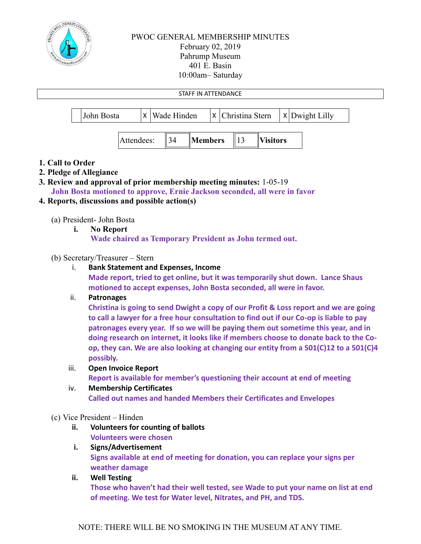

#### PWOC GENERAL MEMBERSHIP MINUTES February 02, 2019 Pahrump Museum 401 E. Basin

10:00am– Saturday



- (a) President- John Bosta
	- **i. No Report**

**Wade chaired as Temporary President as John termed out.**

## (b) Secretary/Treasurer – Stern

i. **Bank Statement and Expenses, Income**

**Made report, tried to get online, but it was temporarily shut down. Lance Shaus motioned to accept expenses, John Bosta seconded, all were in favor.**

# ii. **Patronages**

**Christina is going to send Dwight a copy of our Profit & Loss report and we are going to call a lawyer for a free hour consultation to find out if our Co-op is liable to pay patronages every year. If so we will be paying them out sometime this year, and in doing research on internet, it looks like if members choose to donate back to the Coop, they can. We are also looking at changing our entity from a 501(C)12 to a 501(C)4 possibly.**

iii. **Open Invoice Report Report is available for member's questioning their account at end of meeting**

# iv. **Membership Certificates Called out names and handed Members their Certificates and Envelopes**

### (c) Vice President – Hinden

- **ii. Volunteers for counting of ballots Volunteers were chosen**
- **i. Signs/Advertisement Signs available at end of meeting for donation, you can replace your signs per weather damage**
- **ii. Well Testing Those who haven't had their well tested, see Wade to put your name on list at end of meeting. We test for Water level, Nitrates, and PH, and TDS.**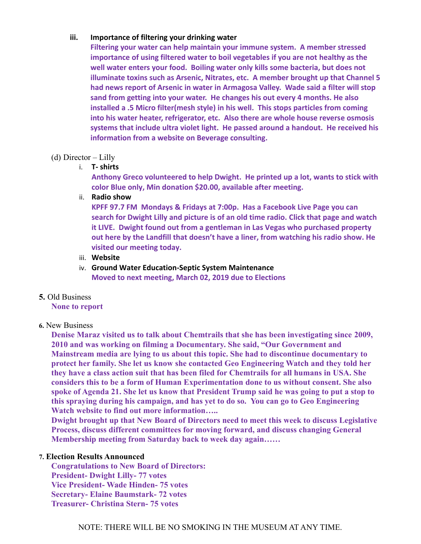#### **iii. Importance of filtering your drinking water**

**Filtering your water can help maintain your immune system. A member stressed importance of using filtered water to boil vegetables if you are not healthy as the well water enters your food. Boiling water only kills some bacteria, but does not illuminate toxins such as Arsenic, Nitrates, etc. A member brought up that Channel 5 had news report of Arsenic in water in Armagosa Valley. Wade said a filter will stop sand from getting into your water. He changes his out every 4 months. He also installed a .5 Micro filter(mesh style) in his well. This stops particles from coming into his water heater, refrigerator, etc. Also there are whole house reverse osmosis systems that include ultra violet light. He passed around a handout. He received his information from a website on Beverage consulting.** 

#### (d) Director – Lilly

i. **T- shirts**

**Anthony Greco volunteered to help Dwight. He printed up a lot, wants to stick with color Blue only, Min donation \$20.00, available after meeting.**

ii. **Radio show**

**KPFF 97.7 FM Mondays & Fridays at 7:00p. Has a Facebook Live Page you can search for Dwight Lilly and picture is of an old time radio. Click that page and watch it LIVE. Dwight found out from a gentleman in Las Vegas who purchased property out here by the Landfill that doesn't have a liner, from watching his radio show. He visited our meeting today.**

iii. **Website**

#### iv. **Ground Water Education-Septic System Maintenance Moved to next meeting, March 02, 2019 due to Elections**

### **5.** Old Business

**None to report**

#### **6.** New Business

**Denise Maraz visited us to talk about Chemtrails that she has been investigating since 2009, 2010 and was working on filming a Documentary. She said, "Our Government and Mainstream media are lying to us about this topic. She had to discontinue documentary to protect her family. She let us know she contacted Geo Engineering Watch and they told her they have a class action suit that has been filed for Chemtrails for all humans in USA. She considers this to be a form of Human Experimentation done to us without consent. She also spoke of Agenda 21. She let us know that President Trump said he was going to put a stop to this spraying during his campaign, and has yet to do so. You can go to Geo Engineering Watch website to find out more information…..**

**Dwight brought up that New Board of Directors need to meet this week to discuss Legislative Process, discuss different committees for moving forward, and discuss changing General Membership meeting from Saturday back to week day again……**

#### **7. Election Results Announced**

**Congratulations to New Board of Directors: President- Dwight Lilly- 77 votes Vice President- Wade Hinden- 75 votes Secretary- Elaine Baumstark- 72 votes Treasurer- Christina Stern- 75 votes**